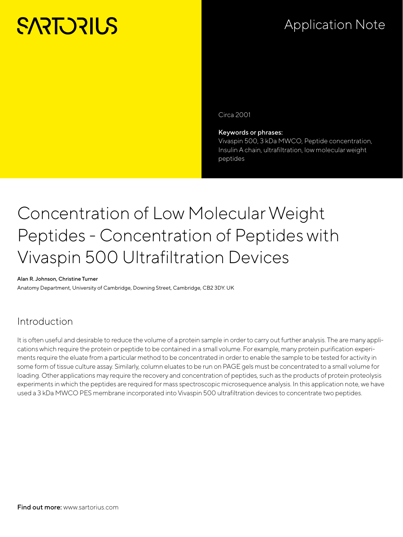# **SARTORILS**

## Application Note

Circa 2001

#### Keywords or phrases:

Vivaspin 500, 3 kDa MWCO, Peptide concentration, Insulin A chain, ultrafiltration, low molecular weight peptides

## Concentration of Low Molecular Weight Peptides - Concentration of Peptides with Vivaspin 500 Ultrafiltration Devices

#### Alan R. Johnson, Christine Turner

Anatomy Department, University of Cambridge, Downing Street, Cambridge, CB2 3DY. UK

### Introduction

It is often useful and desirable to reduce the volume of a protein sample in order to carry out further analysis. The are many applications which require the protein or peptide to be contained in a small volume. For example, many protein purification experiments require the eluate from a particular method to be concentrated in order to enable the sample to be tested for activity in some form of tissue culture assay. Similarly, column eluates to be run on PAGE gels must be concentrated to a small volume for loading. Other applications may require the recovery and concentration of peptides, such as the products of protein proteolysis experiments in which the peptides are required for mass spectroscopic microsequence analysis. In this application note, we have used a 3 kDa MWCO PES membrane incorporated into Vivaspin 500 ultrafiltration devices to concentrate two peptides.